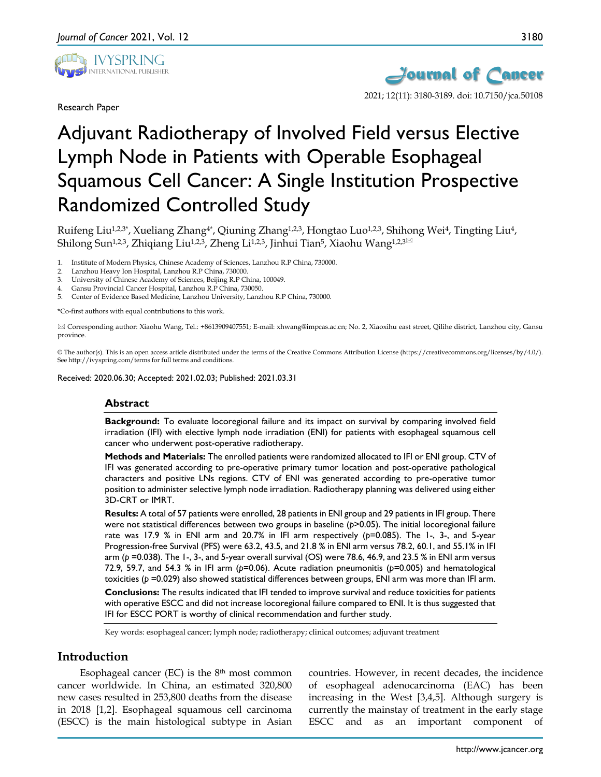

Research Paper



2021; 12(11): 3180-3189. doi: 10.7150/jca.50108

# Adjuvant Radiotherapy of Involved Field versus Elective Lymph Node in Patients with Operable Esophageal Squamous Cell Cancer: A Single Institution Prospective Randomized Controlled Study

Ruifeng Liu<sup>1,2,3\*</sup>, Xueliang Zhang<sup>4\*</sup>, Qiuning Zhang<sup>1,2,3</sup>, Hongtao Luo<sup>1,2,3</sup>, Shihong Wei<sup>4</sup>, Tingting Liu<sup>4</sup>, Shilong Sun<sup>1,2,3</sup>, Zhiqiang Liu<sup>1,2,3</sup>, Zheng Li<sup>1,2,3</sup>, Jinhui Tian<sup>5</sup>, Xiaohu Wang<sup>1,2,3</sub> $\boxtimes$ </sup>

1. Institute of Modern Physics, Chinese Academy of Sciences, Lanzhou R.P China, 730000.

- 2. Lanzhou Heavy Ion Hospital, Lanzhou R.P China, 730000.
- 3. University of Chinese Academy of Sciences, Beijing R.P China, 100049.
- 4. Gansu Provincial Cancer Hospital, Lanzhou R.P China, 730050.
- 5. Center of Evidence Based Medicine, Lanzhou University, Lanzhou R.P China, 730000.

\*Co-first authors with equal contributions to this work.

 Corresponding author: Xiaohu Wang, Tel.: +8613909407551; E-mail: xhwang@impcas.ac.cn; No. 2, Xiaoxihu east street, Qilihe district, Lanzhou city, Gansu province.

© The author(s). This is an open access article distributed under the terms of the Creative Commons Attribution License (https://creativecommons.org/licenses/by/4.0/). See http://ivyspring.com/terms for full terms and conditions.

Received: 2020.06.30; Accepted: 2021.02.03; Published: 2021.03.31

#### **Abstract**

**Background:** To evaluate locoregional failure and its impact on survival by comparing involved field irradiation (IFI) with elective lymph node irradiation (ENI) for patients with esophageal squamous cell cancer who underwent post-operative radiotherapy.

**Methods and Materials:** The enrolled patients were randomized allocated to IFI or ENI group. CTV of IFI was generated according to pre-operative primary tumor location and post-operative pathological characters and positive LNs regions. CTV of ENI was generated according to pre-operative tumor position to administer selective lymph node irradiation. Radiotherapy planning was delivered using either 3D-CRT or IMRT.

**Results:** A total of 57 patients were enrolled, 28 patients in ENI group and 29 patients in IFI group. There were not statistical differences between two groups in baseline (*p*>0.05). The initial locoregional failure rate was 17.9 % in ENI arm and 20.7% in IFI arm respectively (*p*=0.085). The 1-, 3-, and 5-year Progression-free Survival (PFS) were 63.2, 43.5, and 21.8 % in ENI arm versus 78.2, 60.1, and 55.1% in IFI arm (*p* =0.038). The 1-, 3-, and 5-year overall survival (OS) were 78.6, 46.9, and 23.5 % in ENI arm versus 72.9, 59.7, and 54.3 % in IFI arm (*p*=0.06). Acute radiation pneumonitis (*p*=0.005) and hematological toxicities (*p* =0.029) also showed statistical differences between groups, ENI arm was more than IFI arm.

**Conclusions:** The results indicated that IFI tended to improve survival and reduce toxicities for patients with operative ESCC and did not increase locoregional failure compared to ENI. It is thus suggested that IFI for ESCC PORT is worthy of clinical recommendation and further study.

Key words: esophageal cancer; lymph node; radiotherapy; clinical outcomes; adjuvant treatment

## **Introduction**

Esophageal cancer (EC) is the  $8<sup>th</sup>$  most common cancer worldwide. In China, an estimated 320,800 new cases resulted in 253,800 deaths from the disease in 2018 [1,2]. Esophageal squamous cell carcinoma (ESCC) is the main histological subtype in Asian

countries. However, in recent decades, the incidence of esophageal adenocarcinoma (EAC) has been increasing in the West [3,4,5]. Although surgery is currently the mainstay of treatment in the early stage ESCC and as an important component of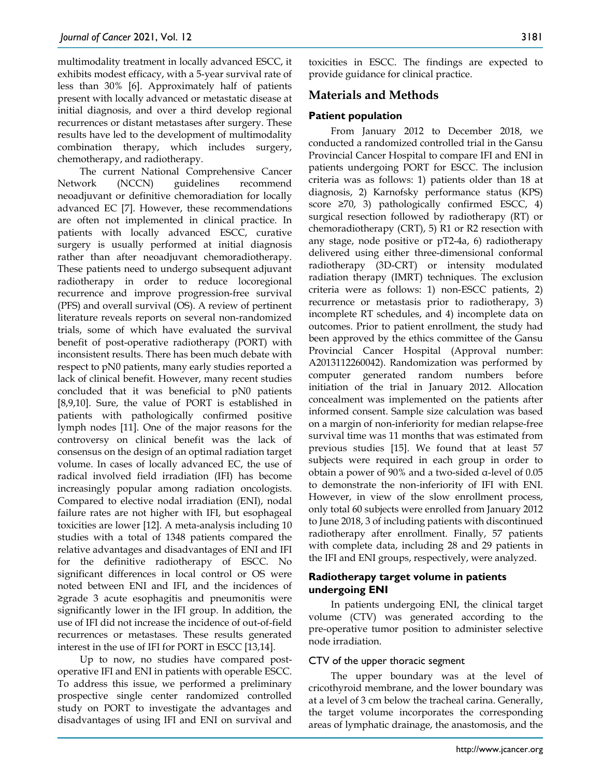multimodality treatment in locally advanced ESCC, it exhibits modest efficacy, with a 5-year survival rate of less than 30% [6]. Approximately half of patients present with locally advanced or metastatic disease at initial diagnosis, and over a third develop regional recurrences or distant metastases after surgery. These results have led to the development of multimodality combination therapy, which includes surgery, chemotherapy, and radiotherapy.

The current National Comprehensive Cancer Network (NCCN) guidelines recommend neoadjuvant or definitive chemoradiation for locally advanced EC [7]. However, these recommendations are often not implemented in clinical practice. In patients with locally advanced ESCC, curative surgery is usually performed at initial diagnosis rather than after neoadjuvant chemoradiotherapy. These patients need to undergo subsequent adjuvant radiotherapy in order to reduce locoregional recurrence and improve progression-free survival (PFS) and overall survival (OS). A review of pertinent literature reveals reports on several non-randomized trials, some of which have evaluated the survival benefit of post-operative radiotherapy (PORT) with inconsistent results. There has been much debate with respect to pN0 patients, many early studies reported a lack of clinical benefit. However, many recent studies concluded that it was beneficial to pN0 patients [8,9,10]. Sure, the value of PORT is established in patients with pathologically confirmed positive lymph nodes [11]. One of the major reasons for the controversy on clinical benefit was the lack of consensus on the design of an optimal radiation target volume. In cases of locally advanced EC, the use of radical involved field irradiation (IFI) has become increasingly popular among radiation oncologists. Compared to elective nodal irradiation (ENI), nodal failure rates are not higher with IFI, but esophageal toxicities are lower [12]. A meta-analysis including 10 studies with a total of 1348 patients compared the relative advantages and disadvantages of ENI and IFI for the definitive radiotherapy of ESCC. No significant differences in local control or OS were noted between ENI and IFI, and the incidences of ≥grade 3 acute esophagitis and pneumonitis were significantly lower in the IFI group. In addition, the use of IFI did not increase the incidence of out-of-field recurrences or metastases. These results generated interest in the use of IFI for PORT in ESCC [13,14].

Up to now, no studies have compared postoperative IFI and ENI in patients with operable ESCC. To address this issue, we performed a preliminary prospective single center randomized controlled study on PORT to investigate the advantages and disadvantages of using IFI and ENI on survival and toxicities in ESCC. The findings are expected to provide guidance for clinical practice.

# **Materials and Methods**

## **Patient population**

From January 2012 to December 2018, we conducted a randomized controlled trial in the Gansu Provincial Cancer Hospital to compare IFI and ENI in patients undergoing PORT for ESCC. The inclusion criteria was as follows: 1) patients older than 18 at diagnosis, 2) Karnofsky performance status (KPS) score  $\geq 70$ , 3) pathologically confirmed ESCC, 4) surgical resection followed by radiotherapy (RT) or chemoradiotherapy (CRT), 5) R1 or R2 resection with any stage, node positive or pT2-4a, 6) radiotherapy delivered using either three-dimensional conformal radiotherapy (3D-CRT) or intensity modulated radiation therapy (IMRT) techniques. The exclusion criteria were as follows: 1) non-ESCC patients, 2) recurrence or metastasis prior to radiotherapy, 3) incomplete RT schedules, and 4) incomplete data on outcomes. Prior to patient enrollment, the study had been approved by the ethics committee of the Gansu Provincial Cancer Hospital (Approval number: A2013112260042). Randomization was performed by computer generated random numbers before initiation of the trial in January 2012. Allocation concealment was implemented on the patients after informed consent. Sample size calculation was based on a margin of non-inferiority for median relapse-free survival time was 11 months that was estimated from previous studies [15]. We found that at least 57 subjects were required in each group in order to obtain a power of 90% and a two-sided α-level of 0.05 to demonstrate the non-inferiority of IFI with ENI. However, in view of the slow enrollment process, only total 60 subjects were enrolled from January 2012 to June 2018, 3 of including patients with discontinued radiotherapy after enrollment. Finally, 57 patients with complete data, including 28 and 29 patients in the IFI and ENI groups, respectively, were analyzed.

## **Radiotherapy target volume in patients undergoing ENI**

In patients undergoing ENI, the clinical target volume (CTV) was generated according to the pre-operative tumor position to administer selective node irradiation.

## CTV of the upper thoracic segment

The upper boundary was at the level of cricothyroid membrane, and the lower boundary was at a level of 3 cm below the tracheal carina. Generally, the target volume incorporates the corresponding areas of lymphatic drainage, the anastomosis, and the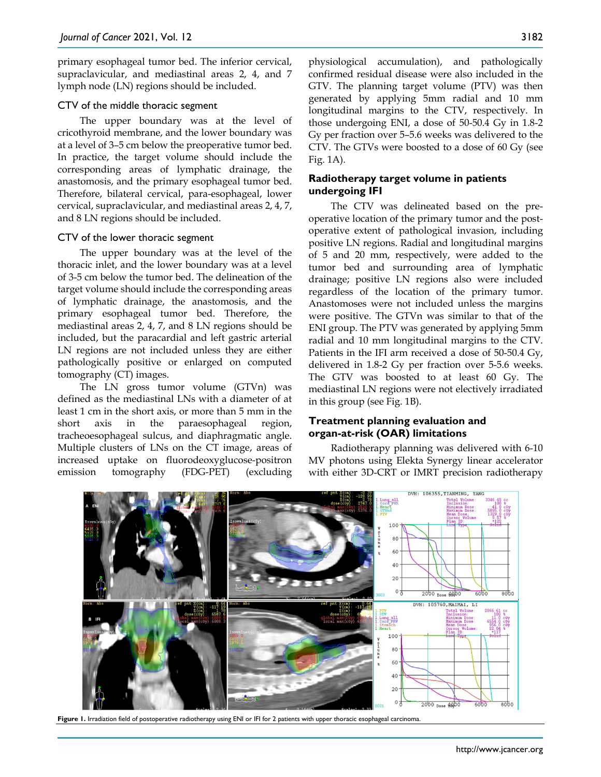primary esophageal tumor bed. The inferior cervical, supraclavicular, and mediastinal areas 2, 4, and 7 lymph node (LN) regions should be included.

#### CTV of the middle thoracic segment

The upper boundary was at the level of cricothyroid membrane, and the lower boundary was at a level of 3–5 cm below the preoperative tumor bed. In practice, the target volume should include the corresponding areas of lymphatic drainage, the anastomosis, and the primary esophageal tumor bed. Therefore, bilateral cervical, para-esophageal, lower cervical, supraclavicular, and mediastinal areas 2, 4, 7, and 8 LN regions should be included.

#### CTV of the lower thoracic segment

The upper boundary was at the level of the thoracic inlet, and the lower boundary was at a level of 3-5 cm below the tumor bed. The delineation of the target volume should include the corresponding areas of lymphatic drainage, the anastomosis, and the primary esophageal tumor bed. Therefore, the mediastinal areas 2, 4, 7, and 8 LN regions should be included, but the paracardial and left gastric arterial LN regions are not included unless they are either pathologically positive or enlarged on computed tomography (CT) images.

The LN gross tumor volume (GTVn) was defined as the mediastinal LNs with a diameter of at least 1 cm in the short axis, or more than 5 mm in the short axis in the paraesophageal region, tracheoesophageal sulcus, and diaphragmatic angle. Multiple clusters of LNs on the CT image, areas of increased uptake on fluorodeoxyglucose-positron emission tomography (FDG-PET) (excluding physiological accumulation), and pathologically confirmed residual disease were also included in the GTV. The planning target volume (PTV) was then generated by applying 5mm radial and 10 mm longitudinal margins to the CTV, respectively. In those undergoing ENI, a dose of 50-50.4 Gy in 1.8-2 Gy per fraction over 5–5.6 weeks was delivered to the CTV. The GTVs were boosted to a dose of 60 Gy (see Fig. 1A).

#### **Radiotherapy target volume in patients undergoing IFI**

The CTV was delineated based on the preoperative location of the primary tumor and the postoperative extent of pathological invasion, including positive LN regions. Radial and longitudinal margins of 5 and 20 mm, respectively, were added to the tumor bed and surrounding area of lymphatic drainage; positive LN regions also were included regardless of the location of the primary tumor. Anastomoses were not included unless the margins were positive. The GTVn was similar to that of the ENI group. The PTV was generated by applying 5mm radial and 10 mm longitudinal margins to the CTV. Patients in the IFI arm received a dose of 50-50.4 Gy, delivered in 1.8-2 Gy per fraction over 5-5.6 weeks. The GTV was boosted to at least 60 Gy. The mediastinal LN regions were not electively irradiated in this group (see Fig. 1B).

### **Treatment planning evaluation and organ-at-risk (OAR) limitations**

Radiotherapy planning was delivered with 6-10 MV photons using Elekta Synergy linear accelerator with either 3D-CRT or IMRT precision radiotherapy



Figure 1. Irradiation field of postoperative radiotherapy using ENI or IFI for 2 patients with upper thoracic esophageal carcinoma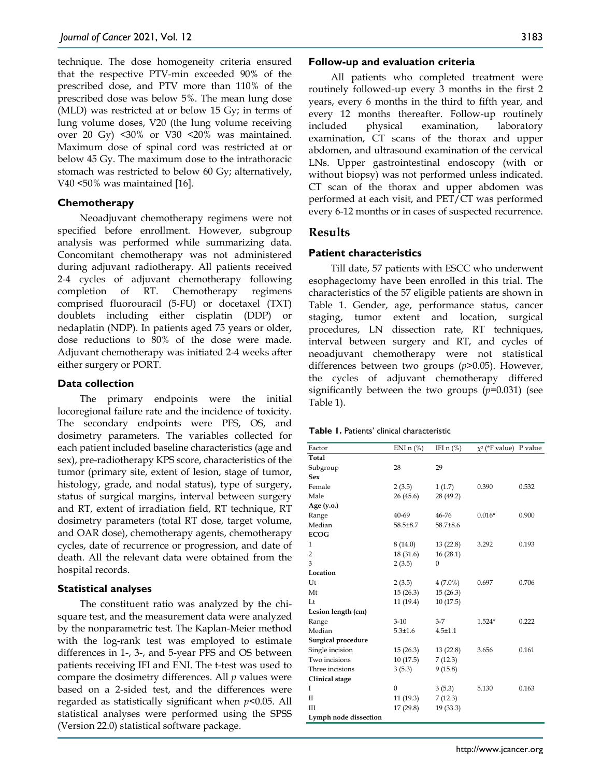technique. The dose homogeneity criteria ensured that the respective PTV-min exceeded 90% of the prescribed dose, and PTV more than 110% of the prescribed dose was below 5%. The mean lung dose (MLD) was restricted at or below 15 Gy; in terms of lung volume doses, V20 (the lung volume receiving over 20 Gy) <30% or V30 <20% was maintained. Maximum dose of spinal cord was restricted at or below 45 Gy. The maximum dose to the intrathoracic stomach was restricted to below 60 Gy; alternatively, V40 <50% was maintained [16].

#### **Chemotherapy**

Neoadjuvant chemotherapy regimens were not specified before enrollment. However, subgroup analysis was performed while summarizing data. Concomitant chemotherapy was not administered during adjuvant radiotherapy. All patients received 2-4 cycles of adjuvant chemotherapy following completion of RT. Chemotherapy regimens comprised fluorouracil (5-FU) or docetaxel (TXT) doublets including either cisplatin (DDP) or nedaplatin (NDP). In patients aged 75 years or older, dose reductions to 80% of the dose were made. Adjuvant chemotherapy was initiated 2-4 weeks after either surgery or PORT.

#### **Data collection**

The primary endpoints were the initial locoregional failure rate and the incidence of toxicity. The secondary endpoints were PFS, OS, and dosimetry parameters. The variables collected for each patient included baseline characteristics (age and sex), pre-radiotherapy KPS score, characteristics of the tumor (primary site, extent of lesion, stage of tumor, histology, grade, and nodal status), type of surgery, status of surgical margins, interval between surgery and RT, extent of irradiation field, RT technique, RT dosimetry parameters (total RT dose, target volume, and OAR dose), chemotherapy agents, chemotherapy cycles, date of recurrence or progression, and date of death. All the relevant data were obtained from the hospital records.

## **Statistical analyses**

The constituent ratio was analyzed by the chisquare test, and the measurement data were analyzed by the nonparametric test. The Kaplan-Meier method with the log-rank test was employed to estimate differences in 1-, 3-, and 5-year PFS and OS between patients receiving IFI and ENI. The t-test was used to compare the dosimetry differences. All *p* values were based on a 2-sided test, and the differences were regarded as statistically significant when *p*<0.05. All statistical analyses were performed using the SPSS (Version 22.0) statistical software package.

#### **Follow-up and evaluation criteria**

All patients who completed treatment were routinely followed-up every 3 months in the first 2 years, every 6 months in the third to fifth year, and every 12 months thereafter. Follow-up routinely included physical examination, laboratory examination, CT scans of the thorax and upper abdomen, and ultrasound examination of the cervical LNs. Upper gastrointestinal endoscopy (with or without biopsy) was not performed unless indicated. CT scan of the thorax and upper abdomen was performed at each visit, and PET/CT was performed every 6-12 months or in cases of suspected recurrence.

## **Results**

## **Patient characteristics**

Till date, 57 patients with ESCC who underwent esophagectomy have been enrolled in this trial. The characteristics of the 57 eligible patients are shown in Table 1. Gender, age, performance status, cancer staging, tumor extent and location, surgical procedures, LN dissection rate, RT techniques, interval between surgery and RT, and cycles of neoadjuvant chemotherapy were not statistical differences between two groups (*p*>0.05). However, the cycles of adjuvant chemotherapy differed significantly between the two groups (*p*=0.031) (see Table 1).

| Table 1. Patients' clinical characteristic |  |
|--------------------------------------------|--|
|--------------------------------------------|--|

| Factor                | ENI $n$ (%)   | IFI $n$ $%$  | $\chi^2$ (*F value) P value |       |
|-----------------------|---------------|--------------|-----------------------------|-------|
| Total                 |               |              |                             |       |
| Subgroup              | 28            | 29           |                             |       |
| Sex                   |               |              |                             |       |
| Female                | 2(3.5)        | 1(1.7)       | 0.390                       | 0.532 |
| Male                  | 26(45.6)      | 28 (49.2)    |                             |       |
| Age (y.o.)            |               |              |                             |       |
| Range                 | 40-69         | 46-76        | $0.016*$                    | 0.900 |
| Median                | 58.5±8.7      | 58.7±8.6     |                             |       |
| <b>ECOG</b>           |               |              |                             |       |
| 1                     | 8(14.0)       | 13(22.8)     | 3.292                       | 0.193 |
| 2                     | 18(31.6)      | 16(28.1)     |                             |       |
| 3                     | 2(3.5)        | $\mathbf{0}$ |                             |       |
| Location              |               |              |                             |       |
| Ut                    | 2(3.5)        | $4(7.0\%)$   | 0.697                       | 0.706 |
| Mt                    | 15(26.3)      | 15(26.3)     |                             |       |
| Lt                    | 11 (19.4)     | 10(17.5)     |                             |       |
| Lesion length (cm)    |               |              |                             |       |
| Range                 | $3 - 10$      | $3 - 7$      | 1.524*                      | 0.222 |
| Median                | $5.3 \pm 1.6$ | $4.5 + 1.1$  |                             |       |
| Surgical procedure    |               |              |                             |       |
| Single incision       | 15(26.3)      | 13(22.8)     | 3.656                       | 0.161 |
| Two incisions         | 10(17.5)      | 7(12.3)      |                             |       |
| Three incisions       | 3(5.3)        | 9(15.8)      |                             |       |
| Clinical stage        |               |              |                             |       |
| I                     | $\theta$      | 3(5.3)       | 5.130                       | 0.163 |
| П                     | 11(19.3)      | 7(12.3)      |                             |       |
| Ш                     | 17(29.8)      | 19 (33.3)    |                             |       |
| Lymph node dissection |               |              |                             |       |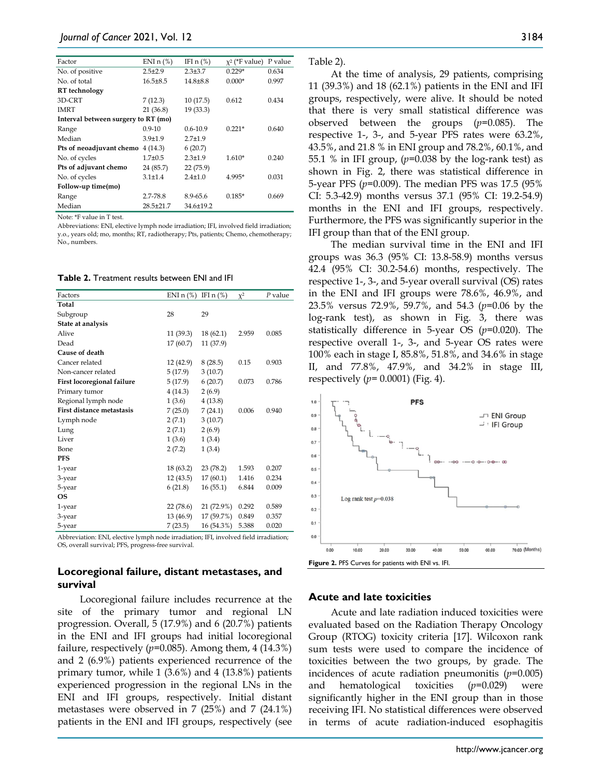| Factor                              | ENI $n$ (%)   | IFI $n$ $%$   | $x^2$ (*F value) | P value |
|-------------------------------------|---------------|---------------|------------------|---------|
| No. of positive                     | $2.5 \pm 2.9$ | $2.3 \pm 3.7$ | $0.229*$         | 0.634   |
| No. of total                        | $16.5 + 8.5$  | $14.8 + 8.8$  | $0.000*$         | 0.997   |
| RT technology                       |               |               |                  |         |
| 3D-CRT                              | 7(12.3)       | 10(17.5)      | 0.612            | 0.434   |
| <b>IMRT</b>                         | 21(36.8)      | 19(33.3)      |                  |         |
| Interval between surgery to RT (mo) |               |               |                  |         |
| Range                               | $0.9 - 10$    | $0.6 - 10.9$  | $0.221*$         | 0.640   |
| Median                              | $3.9 + 1.9$   | $2.7 + 1.9$   |                  |         |
| Pts of neoadjuvant chemo            | 4(14.3)       | 6(20.7)       |                  |         |
| No. of cycles                       | $1.7 + 0.5$   | $2.3 \pm 1.9$ | $1.610*$         | 0.240   |
| Pts of adjuvant chemo               | 24 (85.7)     | 22(75.9)      |                  |         |
| No. of cycles                       | $3.1 \pm 1.4$ | $2.4 + 1.0$   | 4.995*           | 0.031   |
| Follow-up time(mo)                  |               |               |                  |         |
| Range                               | 2.7-78.8      | 8.9-65.6      | $0.185*$         | 0.669   |
| Median                              | $28.5 + 21.7$ | $34.6 + 19.2$ |                  |         |

Note: \*F value in T test.

Abbreviations: ENI, elective lymph node irradiation; IFI, involved field irradiation; y.o., years old; mo, months; RT, radiotherapy; Pts, patients; Chemo, chemotherapy; No., numbers.

**Table 2.** Treatment results between ENI and IFI

| Factors                          | ENI $n$ (%) | IFI $n$ $%$ | $\chi^2$ | P value |
|----------------------------------|-------------|-------------|----------|---------|
| Total                            |             |             |          |         |
| Subgroup                         | 28          | 29          |          |         |
| State at analysis                |             |             |          |         |
| Alive                            | 11(39.3)    | 18(62.1)    | 2.959    | 0.085   |
| Dead                             | 17(60.7)    | 11 (37.9)   |          |         |
| Cause of death                   |             |             |          |         |
| Cancer related                   | 12 (42.9)   | 8(28.5)     | 0.15     | 0.903   |
| Non-cancer related               | 5(17.9)     | 3(10.7)     |          |         |
| First locoregional failure       | 5(17.9)     | 6(20.7)     | 0.073    | 0.786   |
| Primary tumor                    | 4(14.3)     | 2(6.9)      |          |         |
| Regional lymph node              | 1(3.6)      | 4(13.8)     |          |         |
| <b>First distance metastasis</b> | 7(25.0)     | 7(24.1)     | 0.006    | 0.940   |
| Lymph node                       | 2(7.1)      | 3(10.7)     |          |         |
| Lung                             | 2(7.1)      | 2(6.9)      |          |         |
| Liver                            | 1(3.6)      | 1(3.4)      |          |         |
| Bone                             | 2(7.2)      | 1(3.4)      |          |         |
| <b>PFS</b>                       |             |             |          |         |
| 1-year                           | 18 (63.2)   | 23(78.2)    | 1.593    | 0.207   |
| 3-year                           | 12(43.5)    | 17(60.1)    | 1.416    | 0.234   |
| 5-year                           | 6(21.8)     | 16(55.1)    | 6.844    | 0.009   |
| <b>OS</b>                        |             |             |          |         |
| 1-year                           | 22 (78.6)   | 21 (72.9%)  | 0.292    | 0.589   |
| 3-year                           | 13 (46.9)   | 17 (59.7%)  | 0.849    | 0.357   |
| 5-year                           | 7(23.5)     | 16 (54.3%)  | 5.388    | 0.020   |

Abbreviation: ENI, elective lymph node irradiation; IFI, involved field irradiation; OS, overall survival; PFS, progress-free survival.

#### **Locoregional failure, distant metastases, and survival**

Locoregional failure includes recurrence at the site of the primary tumor and regional LN progression. Overall, 5 (17.9%) and 6 (20.7%) patients in the ENI and IFI groups had initial locoregional failure, respectively  $(p=0.085)$ . Among them, 4  $(14.3\%)$ and 2 (6.9%) patients experienced recurrence of the primary tumor, while 1 (3.6%) and 4 (13.8%) patients experienced progression in the regional LNs in the ENI and IFI groups, respectively. Initial distant metastases were observed in 7 (25%) and 7 (24.1%) patients in the ENI and IFI groups, respectively (see

| $\cdot$ able $\cdot$ |
|----------------------|
|----------------------|

At the time of analysis, 29 patients, comprising 11 (39.3%) and 18 (62.1%) patients in the ENI and IFI groups, respectively, were alive. It should be noted that there is very small statistical difference was observed between the groups (*p*=0.085). The respective 1-, 3-, and 5-year PFS rates were 63.2%, 43.5%, and 21.8 % in ENI group and 78.2%, 60.1%, and 55.1 % in IFI group, (*p*=0.038 by the log-rank test) as shown in Fig. 2, there was statistical difference in 5-year PFS (*p*=0.009). The median PFS was 17.5 (95% CI: 5.3-42.9) months versus 37.1 (95% CI: 19.2-54.9) months in the ENI and IFI groups, respectively. Furthermore, the PFS was significantly superior in the IFI group than that of the ENI group.

The median survival time in the ENI and IFI groups was 36.3 (95% CI: 13.8-58.9) months versus 42.4 (95% CI: 30.2-54.6) months, respectively. The respective 1-, 3-, and 5-year overall survival (OS) rates in the ENI and IFI groups were 78.6%, 46.9%, and 23.5% versus 72.9%, 59.7%, and 54.3 (*p*=0.06 by the log-rank test), as shown in Fig. 3, there was statistically difference in 5-year OS (*p*=0.020). The respective overall 1-, 3-, and 5-year OS rates were 100% each in stage I, 85.8%, 51.8%, and 34.6% in stage II, and 77.8%, 47.9%, and 34.2% in stage III, respectively (*p*= 0.0001) (Fig. 4).



#### **Acute and late toxicities**

Acute and late radiation induced toxicities were evaluated based on the Radiation Therapy Oncology Group (RTOG) toxicity criteria [17]. Wilcoxon rank sum tests were used to compare the incidence of toxicities between the two groups, by grade. The incidences of acute radiation pneumonitis (*p*=0.005) and hematological toxicities (*p*=0.029) were significantly higher in the ENI group than in those receiving IFI. No statistical differences were observed in terms of acute radiation-induced esophagitis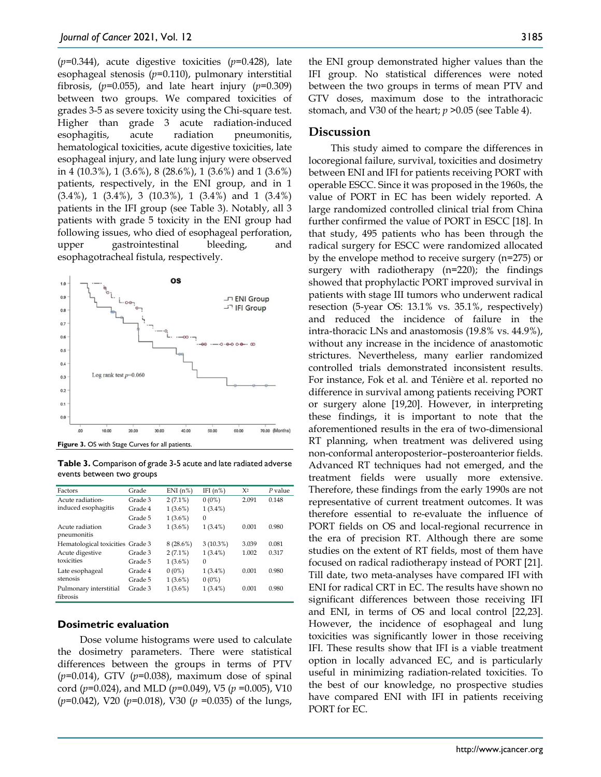(*p*=0.344), acute digestive toxicities (*p*=0.428), late esophageal stenosis (*p*=0.110), pulmonary interstitial fibrosis,  $(p=0.055)$ , and late heart injury  $(p=0.309)$ between two groups. We compared toxicities of grades 3-5 as severe toxicity using the Chi-square test. Higher than grade 3 acute radiation-induced esophagitis, acute radiation pneumonitis, hematological toxicities, acute digestive toxicities, late esophageal injury, and late lung injury were observed in 4 (10.3%), 1 (3.6%), 8 (28.6%), 1 (3.6%) and 1 (3.6%) patients, respectively, in the ENI group, and in 1 (3.4%), 1 (3.4%), 3 (10.3%), 1 (3.4%) and 1 (3.4%) patients in the IFI group (see Table 3). Notably, all 3 patients with grade 5 toxicity in the ENI group had following issues, who died of esophageal perforation, upper gastrointestinal bleeding, and esophagotracheal fistula, respectively.



**Table 3.** Comparison of grade 3-5 acute and late radiated adverse events between two groups

| Factors                          | Grade   | ENI(n%)     | IFI $(n\%)$ | $X^2$ | $P$ value |
|----------------------------------|---------|-------------|-------------|-------|-----------|
| Acute radiation-                 | Grade 3 | $2(7.1\%)$  | $0(0\%)$    | 2.091 | 0.148     |
| induced esophagitis              | Grade 4 | $1(3.6\%)$  | $1(3.4\%)$  |       |           |
|                                  | Grade 5 | $1(3.6\%)$  | $\Omega$    |       |           |
| Acute radiation                  | Grade 3 | $1(3.6\%)$  | $1(3.4\%)$  | 0.001 | 0.980     |
| pneumonitis                      |         |             |             |       |           |
| Hematological toxicities Grade 3 |         | $8(28.6\%)$ | $3(10.3\%)$ | 3.039 | 0.081     |
| Acute digestive                  | Grade 3 | $2(7.1\%)$  | $1(3.4\%)$  | 1.002 | 0.317     |
| toxicities                       | Grade 5 | $1(3.6\%)$  | $\Omega$    |       |           |
| Late esophageal                  | Grade 4 | $0(0\%)$    | $1(3.4\%)$  | 0.001 | 0.980     |
| stenosis                         | Grade 5 | $1(3.6\%)$  | $0(0\%)$    |       |           |
| Pulmonary interstitial           | Grade 3 | $1(3.6\%)$  | $1(3.4\%)$  | 0.001 | 0.980     |
| fibrosis                         |         |             |             |       |           |

#### **Dosimetric evaluation**

Dose volume histograms were used to calculate the dosimetry parameters. There were statistical differences between the groups in terms of PTV (*p*=0.014), GTV (*p*=0.038), maximum dose of spinal cord (*p*=0.024), and MLD (*p*=0.049), V5 (*p* =0.005), V10 (*p=*0.042), V20 (*p*=0.018), V30 (*p* =0.035) of the lungs,

the ENI group demonstrated higher values than the IFI group. No statistical differences were noted between the two groups in terms of mean PTV and GTV doses, maximum dose to the intrathoracic stomach, and V30 of the heart; *p* >0.05 (see Table 4).

## **Discussion**

This study aimed to compare the differences in locoregional failure, survival, toxicities and dosimetry between ENI and IFI for patients receiving PORT with operable ESCC. Since it was proposed in the 1960s, the value of PORT in EC has been widely reported. A large randomized controlled clinical trial from China further confirmed the value of PORT in ESCC [18]. In that study, 495 patients who has been through the radical surgery for ESCC were randomized allocated by the envelope method to receive surgery (n=275) or surgery with radiotherapy (n=220); the findings showed that prophylactic PORT improved survival in patients with stage III tumors who underwent radical resection (5-year OS: 13.1% vs. 35.1%, respectively) and reduced the incidence of failure in the intra-thoracic LNs and anastomosis (19.8% vs. 44.9%), without any increase in the incidence of anastomotic strictures. Nevertheless, many earlier randomized controlled trials demonstrated inconsistent results. For instance, Fok et al. and Ténière et al. reported no difference in survival among patients receiving PORT or surgery alone [19,20]. However, in interpreting these findings, it is important to note that the aforementioned results in the era of two-dimensional RT planning, when treatment was delivered using non-conformal anteroposterior–posteroanterior fields. Advanced RT techniques had not emerged, and the treatment fields were usually more extensive. Therefore, these findings from the early 1990s are not representative of current treatment outcomes. It was therefore essential to re-evaluate the influence of PORT fields on OS and local-regional recurrence in the era of precision RT. Although there are some studies on the extent of RT fields, most of them have focused on radical radiotherapy instead of PORT [21]. Till date, two meta-analyses have compared IFI with ENI for radical CRT in EC. The results have shown no significant differences between those receiving IFI and ENI, in terms of OS and local control [22,23]. However, the incidence of esophageal and lung toxicities was significantly lower in those receiving IFI. These results show that IFI is a viable treatment option in locally advanced EC, and is particularly useful in minimizing radiation-related toxicities. To the best of our knowledge, no prospective studies have compared ENI with IFI in patients receiving PORT for EC.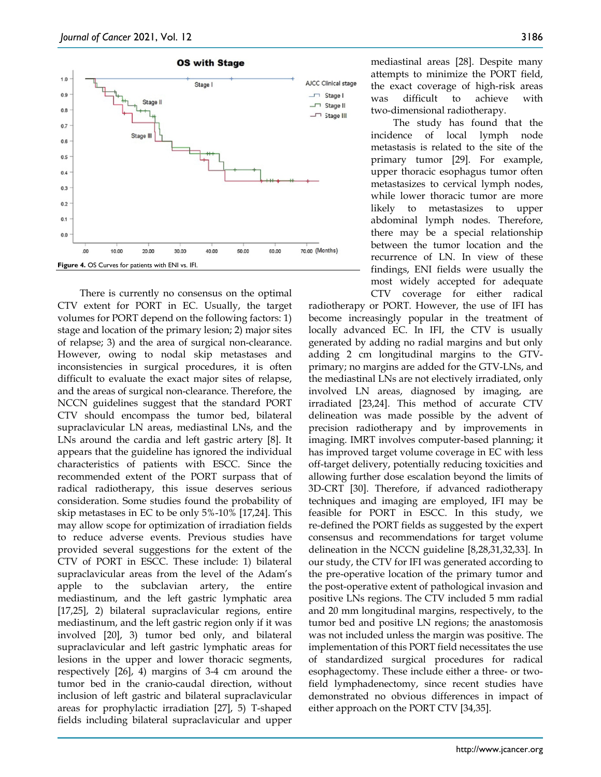

There is currently no consensus on the optimal CTV extent for PORT in EC. Usually, the target volumes for PORT depend on the following factors: 1) stage and location of the primary lesion; 2) major sites of relapse; 3) and the area of surgical non-clearance. However, owing to nodal skip metastases and inconsistencies in surgical procedures, it is often difficult to evaluate the exact major sites of relapse, and the areas of surgical non-clearance. Therefore, the NCCN guidelines suggest that the standard PORT CTV should encompass the tumor bed, bilateral supraclavicular LN areas, mediastinal LNs, and the LNs around the cardia and left gastric artery [8]. It appears that the guideline has ignored the individual characteristics of patients with ESCC. Since the recommended extent of the PORT surpass that of radical radiotherapy, this issue deserves serious consideration. Some studies found the probability of skip metastases in EC to be only 5%-10% [17,24]. This may allow scope for optimization of irradiation fields to reduce adverse events. Previous studies have provided several suggestions for the extent of the CTV of PORT in ESCC. These include: 1) bilateral supraclavicular areas from the level of the Adam's apple to the subclavian artery, the entire mediastinum, and the left gastric lymphatic area [17,25], 2) bilateral supraclavicular regions, entire mediastinum, and the left gastric region only if it was involved [20], 3) tumor bed only, and bilateral supraclavicular and left gastric lymphatic areas for lesions in the upper and lower thoracic segments, respectively [26], 4) margins of 3-4 cm around the tumor bed in the cranio-caudal direction, without inclusion of left gastric and bilateral supraclavicular areas for prophylactic irradiation [27], 5) T-shaped fields including bilateral supraclavicular and upper

mediastinal areas [28]. Despite many attempts to minimize the PORT field, the exact coverage of high-risk areas was difficult to achieve with two-dimensional radiotherapy.

The study has found that the incidence of local lymph node metastasis is related to the site of the primary tumor [29]. For example, upper thoracic esophagus tumor often metastasizes to cervical lymph nodes, while lower thoracic tumor are more likely to metastasizes to upper abdominal lymph nodes. Therefore, there may be a special relationship between the tumor location and the recurrence of LN. In view of these findings, ENI fields were usually the most widely accepted for adequate CTV coverage for either radical

radiotherapy or PORT. However, the use of IFI has become increasingly popular in the treatment of locally advanced EC. In IFI, the CTV is usually generated by adding no radial margins and but only adding 2 cm longitudinal margins to the GTVprimary; no margins are added for the GTV-LNs, and the mediastinal LNs are not electively irradiated, only involved LN areas, diagnosed by imaging, are irradiated [23,24]. This method of accurate CTV delineation was made possible by the advent of precision radiotherapy and by improvements in imaging. IMRT involves computer-based planning; it has improved target volume coverage in EC with less off-target delivery, potentially reducing toxicities and allowing further dose escalation beyond the limits of 3D-CRT [30]. Therefore, if advanced radiotherapy techniques and imaging are employed, IFI may be feasible for PORT in ESCC. In this study, we re-defined the PORT fields as suggested by the expert consensus and recommendations for target volume delineation in the NCCN guideline [8,28,31,32,33]. In our study, the CTV for IFI was generated according to the pre-operative location of the primary tumor and the post-operative extent of pathological invasion and positive LNs regions. The CTV included 5 mm radial and 20 mm longitudinal margins, respectively, to the tumor bed and positive LN regions; the anastomosis was not included unless the margin was positive. The implementation of this PORT field necessitates the use of standardized surgical procedures for radical esophagectomy. These include either a three- or twofield lymphadenectomy, since recent studies have demonstrated no obvious differences in impact of either approach on the PORT CTV [34,35].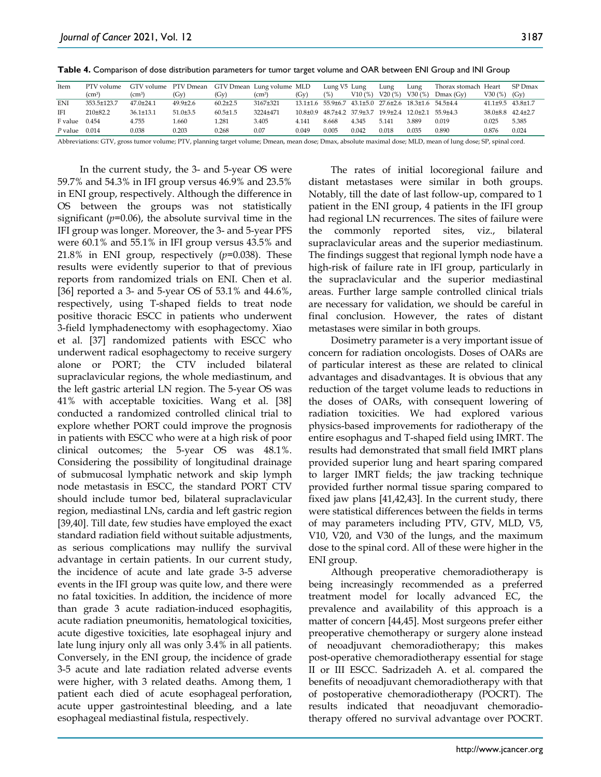**Table 4.** Comparison of dose distribution parameters for tumor target volume and OAR between ENI Group and INI Group

| Item              | PTV volume         | GTV volume PTV Dmean GTV Dmean Lung volume MLD |                |                |              |          | Lung V5 Lung |        | Lung                                                  | Lung   | Thorax stomach Heart |                           | SP Dmax |
|-------------------|--------------------|------------------------------------------------|----------------|----------------|--------------|----------|--------------|--------|-------------------------------------------------------|--------|----------------------|---------------------------|---------|
|                   | (cm <sup>3</sup> ) | $\rm (cm^3)$                                   | $(G_V)$        | $(G_V)$        | $\rm (cm^3)$ | $(G_V)$  | (%)          | V10(%) | V20(%)                                                | V30(%) | Dmax(Gv)             | V30(%)                    | $(G_V)$ |
| <b>ENI</b>        | 353.5±123.7        | $47.0 \pm 24.1$                                | $49.9 \pm 2.6$ | $60.2 \pm 2.5$ | 3167±321     |          |              |        | 13.1±1.6 55.9±6.7 43.1±5.0 27.6±2.6 18.3±1.6 54.5±4.4 |        |                      | $41.1\pm9.5$ $43.8\pm1.7$ |         |
| IFI               | $210+82.2$         | $36.1 + 13.1$                                  | $51.0 + 3.5$   | $60.5 \pm 1.5$ | 3224+471     | 10.8+0.9 |              |        | 48.7±4.2 37.9±3.7 19.9±2.4 12.0±2.1 55.9±4.3          |        |                      | 38.0+8.8 42.4+2.7         |         |
| F value           | 0.454              | 4.755                                          | 1.660          | 1.281          | 3.405        | 4.141    | 8.668        | 4.345  | 5.141                                                 | 3.889  | 0.019                | 0.025                     | 5.385   |
| $P$ value $0.014$ |                    | 0.038                                          | 0.203          | 0.268          | 0.07         | 0.049    | 0.005        | 0.042  | 0.018                                                 | 0.035  | 0.890                | 0.876                     | 0.024   |

Abbreviations: GTV, gross tumor volume; PTV, planning target volume; Dmean, mean dose; Dmax, absolute maximal dose; MLD, mean of lung dose; SP, spinal cord.

In the current study, the 3- and 5-year OS were 59.7% and 54.3% in IFI group versus 46.9% and 23.5% in ENI group, respectively. Although the difference in OS between the groups was not statistically significant (*p*=0.06), the absolute survival time in the IFI group was longer. Moreover, the 3- and 5-year PFS were 60.1% and 55.1% in IFI group versus 43.5% and 21.8% in ENI group, respectively  $(p=0.038)$ . These results were evidently superior to that of previous reports from randomized trials on ENI. Chen et al. [36] reported a 3- and 5-year OS of 53.1% and 44.6%, respectively, using T-shaped fields to treat node positive thoracic ESCC in patients who underwent 3-field lymphadenectomy with esophagectomy. Xiao et al. [37] randomized patients with ESCC who underwent radical esophagectomy to receive surgery alone or PORT; the CTV included bilateral supraclavicular regions, the whole mediastinum, and the left gastric arterial LN region. The 5-year OS was 41% with acceptable toxicities. Wang et al. [38] conducted a randomized controlled clinical trial to explore whether PORT could improve the prognosis in patients with ESCC who were at a high risk of poor clinical outcomes; the 5-year OS was 48.1%. Considering the possibility of longitudinal drainage of submucosal lymphatic network and skip lymph node metastasis in ESCC, the standard PORT CTV should include tumor bed, bilateral supraclavicular region, mediastinal LNs, cardia and left gastric region [39,40]. Till date, few studies have employed the exact standard radiation field without suitable adjustments, as serious complications may nullify the survival advantage in certain patients. In our current study, the incidence of acute and late grade 3-5 adverse events in the IFI group was quite low, and there were no fatal toxicities. In addition, the incidence of more than grade 3 acute radiation-induced esophagitis, acute radiation pneumonitis, hematological toxicities, acute digestive toxicities, late esophageal injury and late lung injury only all was only 3.4% in all patients. Conversely, in the ENI group, the incidence of grade 3-5 acute and late radiation related adverse events were higher, with 3 related deaths. Among them, 1 patient each died of acute esophageal perforation, acute upper gastrointestinal bleeding, and a late esophageal mediastinal fistula, respectively.

The rates of initial locoregional failure and distant metastases were similar in both groups. Notably, till the date of last follow-up, compared to 1 patient in the ENI group, 4 patients in the IFI group had regional LN recurrences. The sites of failure were the commonly reported sites, viz., bilateral supraclavicular areas and the superior mediastinum. The findings suggest that regional lymph node have a high-risk of failure rate in IFI group, particularly in the supraclavicular and the superior mediastinal areas. Further large sample controlled clinical trials are necessary for validation, we should be careful in final conclusion. However, the rates of distant metastases were similar in both groups.

Dosimetry parameter is a very important issue of concern for radiation oncologists. Doses of OARs are of particular interest as these are related to clinical advantages and disadvantages. It is obvious that any reduction of the target volume leads to reductions in the doses of OARs, with consequent lowering of radiation toxicities. We had explored various physics-based improvements for radiotherapy of the entire esophagus and T-shaped field using IMRT. The results had demonstrated that small field IMRT plans provided superior lung and heart sparing compared to larger IMRT fields; the jaw tracking technique provided further normal tissue sparing compared to fixed jaw plans [41,42,43]. In the current study, there were statistical differences between the fields in terms of may parameters including PTV, GTV, MLD, V5, V10, V20, and V30 of the lungs, and the maximum dose to the spinal cord. All of these were higher in the ENI group.

Although preoperative chemoradiotherapy is being increasingly recommended as a preferred treatment model for locally advanced EC, the prevalence and availability of this approach is a matter of concern [44,45]. Most surgeons prefer either preoperative chemotherapy or surgery alone instead of neoadjuvant chemoradiotherapy; this makes post-operative chemoradiotherapy essential for stage II or III ESCC. Sadrizadeh A. et al. compared the benefits of neoadjuvant chemoradiotherapy with that of postoperative chemoradiotherapy (POCRT). The results indicated that neoadjuvant chemoradiotherapy offered no survival advantage over POCRT.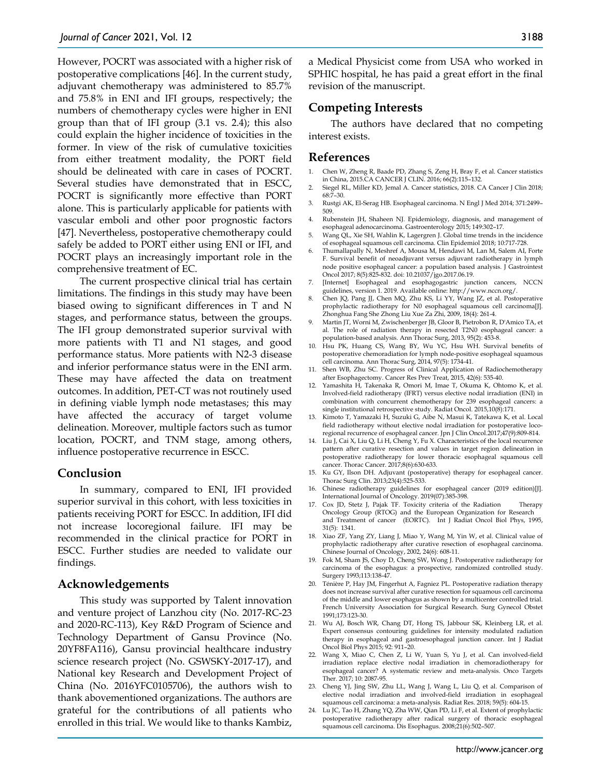However, POCRT was associated with a higher risk of postoperative complications [46]. In the current study, adjuvant chemotherapy was administered to 85.7% and 75.8% in ENI and IFI groups, respectively; the numbers of chemotherapy cycles were higher in ENI group than that of IFI group (3.1 vs. 2.4); this also could explain the higher incidence of toxicities in the former. In view of the risk of cumulative toxicities from either treatment modality, the PORT field should be delineated with care in cases of POCRT. Several studies have demonstrated that in ESCC, POCRT is significantly more effective than PORT alone. This is particularly applicable for patients with vascular emboli and other poor prognostic factors [47]. Nevertheless, postoperative chemotherapy could safely be added to PORT either using ENI or IFI, and POCRT plays an increasingly important role in the comprehensive treatment of EC.

The current prospective clinical trial has certain limitations. The findings in this study may have been biased owing to significant differences in T and N stages, and performance status, between the groups. The IFI group demonstrated superior survival with more patients with T1 and N1 stages, and good performance status. More patients with N2-3 disease and inferior performance status were in the ENI arm. These may have affected the data on treatment outcomes. In addition, PET-CT was not routinely used in defining viable lymph node metastases; this may have affected the accuracy of target volume delineation. Moreover, multiple factors such as tumor location, POCRT, and TNM stage, among others, influence postoperative recurrence in ESCC.

## **Conclusion**

In summary, compared to ENI, IFI provided superior survival in this cohort, with less toxicities in patients receiving PORT for ESCC. In addition, IFI did not increase locoregional failure. IFI may be recommended in the clinical practice for PORT in ESCC. Further studies are needed to validate our findings.

#### **Acknowledgements**

This study was supported by Talent innovation and venture project of Lanzhou city (No. 2017-RC-23 and 2020-RC-113), Key R&D Program of Science and Technology Department of Gansu Province (No. 20YF8FA116), Gansu provincial healthcare industry science research project (No. GSWSKY-2017-17), and National key Research and Development Project of China (No. 2016YFC0105706), the authors wish to thank abovementioned organizations. The authors are grateful for the contributions of all patients who enrolled in this trial. We would like to thanks Kambiz,

a Medical Physicist come from USA who worked in SPHIC hospital, he has paid a great effort in the final revision of the manuscript.

## **Competing Interests**

The authors have declared that no competing interest exists.

## **References**

- 1. Chen W, Zheng R, Baade PD, Zhang S, Zeng H, Bray F, et al. Cancer statistics in China, 2015.CA CANCER J CLIN. 2016; 66(2):115–132.
- 2. Siegel RL, Miller KD, Jemal A. Cancer statistics, 2018. CA Cancer J Clin 2018; 68:7–30.
- 3. Rustgi AK, El-Serag HB. Esophageal carcinoma. N Engl J Med 2014; 371:2499– 509.
- 4. Rubenstein JH, Shaheen NJ. Epidemiology, diagnosis, and management of esophageal adenocarcinoma. Gastroenterology 2015; 149:302–17.
- 5. Wang QL, Xie SH, Wahlin K, Lagergren J. Global time trends in the incidence of esophageal squamous cell carcinoma. Clin Epidemiol 2018; 10:717-728.
- 6. Thumallapally N, Meshref A, Mousa M, Hendawi M, Lan M, Salem AI, Forte F. Survival benefit of neoadjuvant versus adjuvant radiotherapy in lymph node positive esophageal cancer: a population based analysis. J Gastrointest Oncol 2017; 8(5):825-832. doi: 10.21037/jgo.2017.06.19.
- 7. [Internet] Esophageal and esophagogastric junction cancers, NCCN guidelines, version 1. 2019. Available online: http://www.nccn.org/.
- 8. Chen JQ, Pang JJ, Chen MQ, Zhu KS, Li YY, Wang JZ, et al. Postoperative prophylactic radiotherapy for N0 esophageal squamous cell carcinoma[J]. Zhonghua Fang She Zhong Liu Xue Za Zhi, 2009, 18(4): 261-4.
- 9. Martin JT, Worni M, Zwischenberger JB, Gloor B, Pietrobon R, D'Amico TA, et al. The role of radiation therapy in resected T2N0 esophageal cancer: a population-based analysis. Ann Thorac Surg, 2013, 95(2): 453-8.
- 10. Hsu PK, Huang CS, Wang BY, Wu YC, Hsu WH. Survival benefits of postoperative chemoradiation for lymph node-positive esophageal squamous cell carcinoma. Ann Thorac Surg, 2014, 97(5): 1734-41.
- 11. Shen WB, Zhu SC. Progress of Clinical Application of Radiochemotherapy after Esophagectomy. Cancer Res Prev Treat, 2015, 42(6): 535-40.
- 12. Yamashita H, Takenaka R, Omori M, Imae T, Okuma K, Ohtomo K, et al. Involved-field radiotherapy (IFRT) versus elective nodal irradiation (ENI) in combination with concurrent chemotherapy for 239 esophageal cancers: a single institutional retrospective study. Radiat Oncol. 2015,10(8):171.
- 13. Kimoto T, Yamazaki H, Suzuki G, Aibe N, Masui K, Tatekawa K, et al. Local field radiotherapy without elective nodal irradiation for postoperative locoregional recurrence of esophageal cancer. Jpn J Clin Oncol.2017;47(9):809-814.
- 14. Liu J, Cai X, Liu Q, Li H, Cheng Y, Fu X. Characteristics of the local recurrence pattern after curative resection and values in target region delineation in postoperative radiotherapy for lower thoracic esophageal squamous cell cancer. Thorac Cancer. 2017;8(6):630-633.
- 15. Ku GY, Ilson DH. Adjuvant (postoperative) therapy for esophageal cancer. Thorac Surg Clin. 2013;23(4):525-533.
- 16. Chinese radiotherapy guidelines for esophageal cancer (2019 edition)[J]. International Journal of Oncology. 2019(07):385-398.
- 17. Cox JD, Stetz J, Pajak TF. Toxicity criteria of the Radiation Therapy Oncology Group (RTOG) and the European Organization for Research and Treatment of cancer (EORTC). Int J Radiat Oncol Biol Phys, 1995, 31(5): 1341.
- 18. Xiao ZF, Yang ZY, Liang J, Miao Y, Wang M, Yin W, et al. Clinical value of prophylactic radiotherapy after curative resection of esophageal carcinoma. Chinese Journal of Oncology, 2002, 24(6): 608-11.
- 19. Fok M, Sham JS, Choy D, Cheng SW, Wong J. Postoperative radiotherapy for carcinoma of the esophagus: a prospective, randomized controlled study. Surgery 1993;113:138-47.
- 20. Ténière P, Hay JM, Fingerhut A, Fagniez PL. Postoperative radiation therapy does not increase survival after curative resection for squamous cell carcinoma of the middle and lower esophagus as shown by a multicenter controlled trial. French University Association for Surgical Research. Surg Gynecol Obstet 1991;173:123-30.
- 21. Wu AJ, Bosch WR, Chang DT, Hong TS, Jabbour SK, Kleinberg LR, et al. Expert consensus contouring guidelines for intensity modulated radiation therapy in esophageal and gastroesophageal junction cancer. Int J Radiat Oncol Biol Phys 2015; 92: 911–20.
- 22. Wang X, Miao C, Chen Z, Li W, Yuan S, Yu J, et al. Can involved-field irradiation replace elective nodal irradiation in chemoradiotherapy for esophageal cancer? A systematic review and meta-analysis. Onco Targets Ther. 2017; 10: 2087-95.
- 23. Cheng YJ, Jing SW, Zhu LL, Wang J, Wang L, Liu Q, et al. Comparison of elective nodal irradiation and involved-field irradiation in esophageal squamous cell carcinoma: a meta-analysis. Radiat Res. 2018; 59(5): 604-15.
- 24. Lu JC, Tao H, Zhang YQ, Zha WW, Qian PD, Li F, et al. Extent of prophylactic postoperative radiotherapy after radical surgery of thoracic esophageal squamous cell carcinoma. Dis Esophagus. 2008;21(6):502–507.